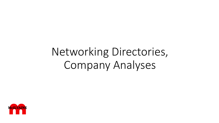# Networking Directories, Company Analyses

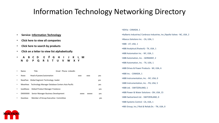# Information Technology Networking Directory

- **Service: Information Technology**
- **Click here to view all companies**
- **Click here to search by products**
- **Click on a letter to view list alphabetically**
- **A B C D E F G H I J K L M N O P Q R S T U V W X Y**

|   | Name      | Title                                            | Email Phone LinkedIn |              |               |     |
|---|-----------|--------------------------------------------------|----------------------|--------------|---------------|-----|
|   | Xxxxx     | Head of power/automation                         |                      | <b>XXXX</b>  | <b>XXXX</b>   | yes |
| ٠ | NxxxPxxx  | Global Segment Technology leader                 |                      |              |               | yes |
|   | MxxxHxxx  | Technology Manager Database Centers Asia Pacific |                      |              |               | yes |
| ٠ | IxxxMxxxx | <b>Global Product Manager Freelance</b>          |                      |              |               | yes |
| ٠ | DXXXXXXX  | Senior Manager Business Development              |                      | <b>XXXXX</b> | <b>XXXXXX</b> | ves |
|   | GxxxSxxx  | Member of Group Execuitive Committee             |                      |              |               | yes |

•3DVia - CANADA, 1 •Aalberts Industries/ Conbraco Industries, Inc./Apollo Valves - NC, USA, 2 •Abacus Solutions Inc. - CA, USA, 1 •ABB - UT, USA, 1 •ABB Analytical (Pastech) - TX, USA, 1 •ABB Automation Inc. - NY, USA, 1 •ABB Automation, Inc. - GERMANY, 2 •ABB Automation, Inc. - TX, USA, 1 •ABB Drives & Power Products - WI, USA, 6 •ABB Inc. - CANADA, 1 •ABB Instrumentation, Inc. - NY, USA, 0 •ABB Instrumentation, Inc. - PA, USA, 5 •ABB Ltd. - SWITZERLAND, 1 •ABB Power & Water Solutions - OH, USA, 15 •ABB Switzerland Ltd. - SWITZERLAND, 0 •ABB Systems Control - CA, USA, 1 •ABS Group, Inc./ Risk & Reliab.Dv. - TN, USA, 0

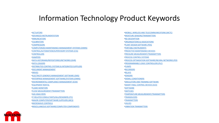### Information Technology Product Keywords

•[ACTUATORS](http://www.mcilvainecompany.com/CatalogVendor/networkdirectoryDB/keyword2.asp?keyword=24-609&service=24) •[ADVANCED INSTRUMENTATION](http://www.mcilvainecompany.com/CatalogVendor/networkdirectoryDB/keyword2.asp?keyword=24-300&service=24) •[ANNUNCIATORS](http://www.mcilvainecompany.com/CatalogVendor/networkdirectoryDB/keyword2.asp?keyword=24-614&service=24) •[CALIBRATORS](http://www.mcilvainecompany.com/CatalogVendor/networkdirectoryDB/keyword2.asp?keyword=24-608&service=24) •[COMPRESSORS](http://www.mcilvainecompany.com/CatalogVendor/networkdirectoryDB/keyword2.asp?keyword=24-605&service=24) •[COMPUTERIZED MAINTENANCE MANAGEMENT SYSTEMS \(CMMS\)](http://www.mcilvainecompany.com/CatalogVendor/networkdirectoryDB/keyword2.asp?keyword=24-218&service=24) •[CONTROL/AUTOMATION/SUPERVISORY SYSTEMS \(CSS\)](http://www.mcilvainecompany.com/CatalogVendor/networkdirectoryDB/keyword2.asp?keyword=24-211&service=24) •[CONTROLLERS](http://www.mcilvainecompany.com/CatalogVendor/networkdirectoryDB/keyword2.asp?keyword=24-606&service=24) •[DAMPERS](http://www.mcilvainecompany.com/CatalogVendor/networkdirectoryDB/keyword2.asp?keyword=24-601&service=24) •[DATA HISTORIANS/REPOSITORIES/NETWORKS \(DHR\)](http://www.mcilvainecompany.com/CatalogVendor/networkdirectoryDB/keyword2.asp?keyword=24-213&service=24) •[DATA LOGGERS](http://www.mcilvainecompany.com/CatalogVendor/networkdirectoryDB/keyword2.asp?keyword=24-313&service=24) •[DISTRIBUTED CONTROL SYSTEMS & INTEGRATED SUPPLIERS](http://www.mcilvainecompany.com/CatalogVendor/networkdirectoryDB/keyword2.asp?keyword=24-100&service=24) •[DOCUMENT MANAGEMENT](http://www.mcilvainecompany.com/CatalogVendor/networkdirectoryDB/keyword2.asp?keyword=24-215&service=24) •[DRIVES](http://www.mcilvainecompany.com/CatalogVendor/networkdirectoryDB/keyword2.asp?keyword=24-604&service=24) •[ELECTRICITY \(ENERGY\) MANAGEMENT SOFTWARE \(EMS\)](http://www.mcilvainecompany.com/CatalogVendor/networkdirectoryDB/keyword2.asp?keyword=24-217&service=24) •[ENTERPRISE MANAGEMENT SOFTWARE/SYSTEMS \(ENMS\)](http://www.mcilvainecompany.com/CatalogVendor/networkdirectoryDB/keyword2.asp?keyword=24-216&service=24) •[ENVIRONMENTAL COMPLIANCE MANAGEMENT \(ECM\)](http://www.mcilvainecompany.com/CatalogVendor/networkdirectoryDB/keyword2.asp?keyword=24-400&service=24) •[EQUIPMENT RENTAL](http://www.mcilvainecompany.com/CatalogVendor/networkdirectoryDB/keyword2.asp?keyword=24-800&service=24) •[FLAME MONITORS](http://www.mcilvainecompany.com/CatalogVendor/networkdirectoryDB/keyword2.asp?keyword=24-309&service=24) •[FLOW MEASUREMENT/TRANSMITTERS](http://www.mcilvainecompany.com/CatalogVendor/networkdirectoryDB/keyword2.asp?keyword=24-303&service=24) •[GAS ANALYZERS](http://www.mcilvainecompany.com/CatalogVendor/networkdirectoryDB/keyword2.asp?keyword=24-305&service=24) •[IT-RELATED CONSULTANTS/AEs/DESIGNERS \(ITC\)](http://www.mcilvainecompany.com/CatalogVendor/networkdirectoryDB/keyword2.asp?keyword=24-700&service=24) •[MAJOR COMPUTER/SOFTWARE SUPPLIERS \(MCS\)](http://www.mcilvainecompany.com/CatalogVendor/networkdirectoryDB/keyword2.asp?keyword=24-200&service=24) •[MICROWAVE CONTROLS](http://www.mcilvainecompany.com/CatalogVendor/networkdirectoryDB/keyword2.asp?keyword=24-307&service=24) •[MISCELLANEOUS SOFTWARE/COMPUTER COMPONENTS](http://www.mcilvainecompany.com/CatalogVendor/networkdirectoryDB/keyword2.asp?keyword=24-900&service=24)

•[MOBILE, WIRELESS AND TELECOMMUNICATIONS \(MCTC\)](http://www.mcilvainecompany.com/CatalogVendor/networkdirectoryDB/keyword2.asp?keyword=24-500&service=24) •[MOISTURE SENSORS/TRANSMITTERS](http://www.mcilvainecompany.com/CatalogVendor/networkdirectoryDB/keyword2.asp?keyword=24-310&service=24) •[NO DESCRIPTION](http://www.mcilvainecompany.com/CatalogVendor/networkdirectoryDB/keyword2.asp?keyword=24-999&service=24) •[ORGANIZATIONS & ASSOCIATIONS](http://www.mcilvainecompany.com/CatalogVendor/networkdirectoryDB/keyword2.asp?keyword=24-001&service=24) •[PLANT DESIGN SOFTWARE \(PDS\)](http://www.mcilvainecompany.com/CatalogVendor/networkdirectoryDB/keyword2.asp?keyword=24-214&service=24) •[PORTABLE INSTRUMENTS](http://www.mcilvainecompany.com/CatalogVendor/networkdirectoryDB/keyword2.asp?keyword=24-349&service=24) •[PREDICTIVE MAINTENANCE DEVICES](http://www.mcilvainecompany.com/CatalogVendor/networkdirectoryDB/keyword2.asp?keyword=24-302&service=24) •[PRESSURE MEASUREMENT/TRANSMITTERS](http://www.mcilvainecompany.com/CatalogVendor/networkdirectoryDB/keyword2.asp?keyword=24-308&service=24) •[PROCESS CONTROL SYSTEMS](http://www.mcilvainecompany.com/CatalogVendor/networkdirectoryDB/keyword2.asp?keyword=24-110&service=24) •[PROCESS OPTIMIZATION SOFTWARE/NEURAL NETWORKS \(POS](http://www.mcilvainecompany.com/CatalogVendor/networkdirectoryDB/keyword2.asp?keyword=24-212&service=24) •[PROGRAMMABLE LOGIC CONTROLLERS \(PLC\)](http://www.mcilvainecompany.com/CatalogVendor/networkdirectoryDB/keyword2.asp?keyword=24-120&service=24) •[PUMPS](http://www.mcilvainecompany.com/CatalogVendor/networkdirectoryDB/keyword2.asp?keyword=24-602&service=24) •[RECORDERS](http://www.mcilvainecompany.com/CatalogVendor/networkdirectoryDB/keyword2.asp?keyword=24-306&service=24) •[RELAYS](http://www.mcilvainecompany.com/CatalogVendor/networkdirectoryDB/keyword2.asp?keyword=24-607&service=24) •[SENSORS](http://www.mcilvainecompany.com/CatalogVendor/networkdirectoryDB/keyword2.asp?keyword=24-301&service=24) •[SIGNAL CONDITIONERS](http://www.mcilvainecompany.com/CatalogVendor/networkdirectoryDB/keyword2.asp?keyword=24-613&service=24) •[SIMULATORS AND TRAINING SOFTWARE](http://www.mcilvainecompany.com/CatalogVendor/networkdirectoryDB/keyword2.asp?keyword=24-219&service=24) •[SMART FINAL CONTROL DEVICES \(SCD\)](http://www.mcilvainecompany.com/CatalogVendor/networkdirectoryDB/keyword2.asp?keyword=24-600&service=24) •[SOFTWARE](http://www.mcilvainecompany.com/CatalogVendor/networkdirectoryDB/keyword2.asp?keyword=24-210&service=24) •[SWITCHES](http://www.mcilvainecompany.com/CatalogVendor/networkdirectoryDB/keyword2.asp?keyword=24-612&service=24) •[TEMPERATURE MEASUREMENT/TRANSMITTERS](http://www.mcilvainecompany.com/CatalogVendor/networkdirectoryDB/keyword2.asp?keyword=24-304&service=24) •[TRANSDUCERS](http://www.mcilvainecompany.com/CatalogVendor/networkdirectoryDB/keyword2.asp?keyword=24-611&service=24) •[TRANSMITTERS](http://www.mcilvainecompany.com/CatalogVendor/networkdirectoryDB/keyword2.asp?keyword=24-312&service=24) •[VALVES](http://www.mcilvainecompany.com/CatalogVendor/networkdirectoryDB/keyword2.asp?keyword=24-603&service=24) •[VIBRATION TRANSMITTERS](http://www.mcilvainecompany.com/CatalogVendor/networkdirectoryDB/keyword2.asp?keyword=24-311&service=24)

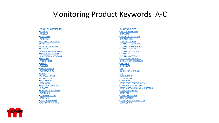### Monitoring Product Keywords A-C

•[ACID DEWPOINT MONITOR](http://www.mcilvainecompany.com/CatalogVendor/networkdirectoryDB/keyword2.asp?keyword=9-101&service=9) •[ACID GAS](http://www.mcilvainecompany.com/CatalogVendor/networkdirectoryDB/keyword2.asp?keyword=9-153&service=9) •[ACID RAIN](http://www.mcilvainecompany.com/CatalogVendor/networkdirectoryDB/keyword2.asp?keyword=9-761&service=9) •[ADSORBERS](http://www.mcilvainecompany.com/CatalogVendor/networkdirectoryDB/keyword2.asp?keyword=9-454&service=9) •[AEROSOLS](http://www.mcilvainecompany.com/CatalogVendor/networkdirectoryDB/keyword2.asp?keyword=9-807&service=9) •[AIR QUALITY MODELING](http://www.mcilvainecompany.com/CatalogVendor/networkdirectoryDB/keyword2.asp?keyword=9-501&service=9) •[AIR TOXICS](http://www.mcilvainecompany.com/CatalogVendor/networkdirectoryDB/keyword2.asp?keyword=9-143&service=9) •[AIRBORNE MEASUREMENT](http://www.mcilvainecompany.com/CatalogVendor/networkdirectoryDB/keyword2.asp?keyword=9-258&service=9) •[ALDEHYDES](http://www.mcilvainecompany.com/CatalogVendor/networkdirectoryDB/keyword2.asp?keyword=9-102&service=9) •[AMBIENT AIR MONITORING](http://www.mcilvainecompany.com/CatalogVendor/networkdirectoryDB/keyword2.asp?keyword=9-210&service=9) •[ANALYTICAL BALANCES](http://www.mcilvainecompany.com/CatalogVendor/networkdirectoryDB/keyword2.asp?keyword=9-401&service=9) •[ANALYTICAL LABORATORIES](http://www.mcilvainecompany.com/CatalogVendor/networkdirectoryDB/keyword2.asp?keyword=9-502&service=9) •[ANALYZERS](http://www.mcilvainecompany.com/CatalogVendor/networkdirectoryDB/keyword2.asp?keyword=9-283&service=9) •[ANEMOMETER](http://www.mcilvainecompany.com/CatalogVendor/networkdirectoryDB/keyword2.asp?keyword=9-701&service=9) •[ARSENIC](http://www.mcilvainecompany.com/CatalogVendor/networkdirectoryDB/keyword2.asp?keyword=9-147&service=9) •[ASBESTOS](http://www.mcilvainecompany.com/CatalogVendor/networkdirectoryDB/keyword2.asp?keyword=9-145&service=9) •[ASME METHODS](http://www.mcilvainecompany.com/CatalogVendor/networkdirectoryDB/keyword2.asp?keyword=9-601&service=9) •[ASTM METHODS](http://www.mcilvainecompany.com/CatalogVendor/networkdirectoryDB/keyword2.asp?keyword=9-602&service=9) •[AUDITS](http://www.mcilvainecompany.com/CatalogVendor/networkdirectoryDB/keyword2.asp?keyword=9-566&service=9) •[AUTOMATED GC`S](http://www.mcilvainecompany.com/CatalogVendor/networkdirectoryDB/keyword2.asp?keyword=9-415&service=9) •[AUTOMATION](http://www.mcilvainecompany.com/CatalogVendor/networkdirectoryDB/keyword2.asp?keyword=9-176&service=9) •[BAG SAMPLING](http://www.mcilvainecompany.com/CatalogVendor/networkdirectoryDB/keyword2.asp?keyword=9-255&service=9) •[BAROMETERS](http://www.mcilvainecompany.com/CatalogVendor/networkdirectoryDB/keyword2.asp?keyword=9-703&service=9) •[BETA GAUGE MONITOR](http://www.mcilvainecompany.com/CatalogVendor/networkdirectoryDB/keyword2.asp?keyword=9-262&service=9) •[BLOWERS](http://www.mcilvainecompany.com/CatalogVendor/networkdirectoryDB/keyword2.asp?keyword=9-323&service=9) •[BUBBLERS & IMPINGERS](http://www.mcilvainecompany.com/CatalogVendor/networkdirectoryDB/keyword2.asp?keyword=9-301&service=9) •[C \(CARBON\)](http://www.mcilvainecompany.com/CatalogVendor/networkdirectoryDB/keyword2.asp?keyword=9-103&service=9) •[C\3H\8 \(PROPANE\)](http://www.mcilvainecompany.com/CatalogVendor/networkdirectoryDB/keyword2.asp?keyword=9-104&service=9) •[CADMIUM](http://www.mcilvainecompany.com/CatalogVendor/networkdirectoryDB/keyword2.asp?keyword=9-167&service=9) •[CALIBRATION GASES](http://www.mcilvainecompany.com/CatalogVendor/networkdirectoryDB/keyword2.asp?keyword=9-302&service=9) •[CALIBRATION SYSTEMS](http://www.mcilvainecompany.com/CatalogVendor/networkdirectoryDB/keyword2.asp?keyword=9-324&service=9)

•[CANISTER SAMPLER](http://www.mcilvainecompany.com/CatalogVendor/networkdirectoryDB/keyword2.asp?keyword=9-328&service=9) •[CASCADE IMPACTORS](http://www.mcilvainecompany.com/CatalogVendor/networkdirectoryDB/keyword2.asp?keyword=9-291&service=9) •[CATALYSTS](http://www.mcilvainecompany.com/CatalogVendor/networkdirectoryDB/keyword2.asp?keyword=9-412&service=9) •[CERTIFICATION TESTING](http://www.mcilvainecompany.com/CatalogVendor/networkdirectoryDB/keyword2.asp?keyword=9-522&service=9) •[CH4 \(METHANE\)](http://www.mcilvainecompany.com/CatalogVendor/networkdirectoryDB/keyword2.asp?keyword=9-105&service=9) •[CHART RECORDERS](http://www.mcilvainecompany.com/CatalogVendor/networkdirectoryDB/keyword2.asp?keyword=9-571&service=9) •[CHEMICAL FEED SYSTEMS](http://www.mcilvainecompany.com/CatalogVendor/networkdirectoryDB/keyword2.asp?keyword=6-824&service=9) •[CHEMICAL MASS BALANCE](http://www.mcilvainecompany.com/CatalogVendor/networkdirectoryDB/keyword2.asp?keyword=9-299&service=9) •[CHEMICAL REAGENTS](http://www.mcilvainecompany.com/CatalogVendor/networkdirectoryDB/keyword2.asp?keyword=9-456&service=9) •[CHEMICAL SPECIATION](http://www.mcilvainecompany.com/CatalogVendor/networkdirectoryDB/keyword2.asp?keyword=9-809&service=9) •[CHEMICALS](http://www.mcilvainecompany.com/CatalogVendor/networkdirectoryDB/keyword2.asp?keyword=6-811&service=9) •[CHEMILUMINESCENCE](http://www.mcilvainecompany.com/CatalogVendor/networkdirectoryDB/keyword2.asp?keyword=9-451&service=9) •[CHROMATOGRAPHS-GAS](http://www.mcilvainecompany.com/CatalogVendor/networkdirectoryDB/keyword2.asp?keyword=9-402&service=9) •[CHROMATOGRAPHS-LIQUID](http://www.mcilvainecompany.com/CatalogVendor/networkdirectoryDB/keyword2.asp?keyword=9-408&service=9) •[CHROME 6](http://www.mcilvainecompany.com/CatalogVendor/networkdirectoryDB/keyword2.asp?keyword=9-685&service=9) •[CHROMIUM](http://www.mcilvainecompany.com/CatalogVendor/networkdirectoryDB/keyword2.asp?keyword=9-168&service=9)  $\cdot$ [Cl/2](http://www.mcilvainecompany.com/CatalogVendor/networkdirectoryDB/keyword2.asp?keyword=9-108&service=9) •[CO \(CARBON MONOXIDE\)](http://www.mcilvainecompany.com/CatalogVendor/networkdirectoryDB/keyword2.asp?keyword=9-139&service=9) •[CO2](http://www.mcilvainecompany.com/CatalogVendor/networkdirectoryDB/keyword2.asp?keyword=9-107&service=9) •[COGENERATION](http://www.mcilvainecompany.com/CatalogVendor/networkdirectoryDB/keyword2.asp?keyword=9-900&service=9) •[COLORIMETRICS](http://www.mcilvainecompany.com/CatalogVendor/networkdirectoryDB/keyword2.asp?keyword=9-325&service=9) •[COMBUSTIBLES](http://www.mcilvainecompany.com/CatalogVendor/networkdirectoryDB/keyword2.asp?keyword=9-106&service=9) •[COMBUSTION CONTROL DEVICES](http://www.mcilvainecompany.com/CatalogVendor/networkdirectoryDB/keyword2.asp?keyword=9-225&service=9) •[COMBUSTION MONITORING](http://www.mcilvainecompany.com/CatalogVendor/networkdirectoryDB/keyword2.asp?keyword=9-226&service=9) •[COMPLIANCE ASSURANCE MONITORING](http://www.mcilvainecompany.com/CatalogVendor/networkdirectoryDB/keyword2.asp?keyword=9-417&service=9) •[COMPLIANCE TESTING](http://www.mcilvainecompany.com/CatalogVendor/networkdirectoryDB/keyword2.asp?keyword=9-517&service=9) •[COMPUTER](http://www.mcilvainecompany.com/CatalogVendor/networkdirectoryDB/keyword2.asp?keyword=9-590&service=9) •[COMPUTER MODELS](http://www.mcilvainecompany.com/CatalogVendor/networkdirectoryDB/keyword2.asp?keyword=9-573&service=9) •[CONDENSABLES](http://www.mcilvainecompany.com/CatalogVendor/networkdirectoryDB/keyword2.asp?keyword=9-164&service=9) •[CONDENSATION NUCLEATION](http://www.mcilvainecompany.com/CatalogVendor/networkdirectoryDB/keyword2.asp?keyword=9-478&service=9) •[CONDUCTIVITY](http://www.mcilvainecompany.com/CatalogVendor/networkdirectoryDB/keyword2.asp?keyword=9-479&service=9)

**MCILVAINE**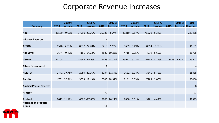## Corporate Revenue Increases

|                                            |       | 2010 %          |       | 2011 %          |      | 2012 %          |       | 2013 %          |       | 2014 %          |       | 2015 % | <b>Total</b>            |
|--------------------------------------------|-------|-----------------|-------|-----------------|------|-----------------|-------|-----------------|-------|-----------------|-------|--------|-------------------------|
| <b>Company</b>                             | 2010  | <b>Increase</b> | 2011  | <b>Increase</b> | 2012 | <b>Increase</b> | 2013  | <b>Increase</b> | 2014  | <b>Increase</b> | 2015  |        | <b>Increase Revenue</b> |
| <b>ABB</b>                                 |       | 31589 -0.65%    |       | 37990 20.26%    |      | 39336 3.54%     |       | 43219 9.87%     |       | 45529 5.34%     |       |        | 229458                  |
| <b>Advanced Sensors</b>                    |       |                 |       |                 |      |                 |       |                 |       |                 |       |        | $\mathbf{1}$            |
| <b>AECOM</b>                               |       | 6546 7.01%      |       | 8037 22.78%     |      | 8218 2.25%      |       | 8669 5.49%      |       | 8594 -0.87%     |       |        | 46181                   |
| <b>Alfa Laval</b>                          |       | 3644 - 0.49%    |       | 4155 14.02%     |      | 4580 10.23%     |       | 4715 2.95%      |       | 4979 5.60%      |       |        | 25735                   |
| <b>Alstom</b>                              | 24105 |                 | 25666 | 6.48%           |      | 24453 -4.73%    | 25977 | 6.23%           | 26952 | 3.75%           | 28489 | 5.70%  | 155642                  |
| <b>Altech Environment</b>                  |       |                 |       |                 | 4    |                 |       |                 |       |                 |       |        | 4                       |
| <b>AMETEK</b>                              |       | 2471 17.78%     |       | 2989 20.96%     |      | 3334 11.54%     |       | 3632 8.94%      |       | 3841 5.75%      |       |        | 18365                   |
| <b>Andritz</b>                             |       | 4731 20.26%     |       | 5653 19.49%     |      | 6703 18.57%     |       | 7141 6.53%      | 7288  | 2.06%           |       |        | 35450                   |
| <b>Applied Physics Systems</b>             |       |                 |       |                 | 8    |                 |       |                 |       |                 |       |        | 8                       |
| <b>Ashcroft</b>                            |       |                 |       |                 | 77   |                 |       |                 |       |                 |       |        | 77                      |
| <b>Ashland</b>                             |       | 9012 11.18%     |       | 6502 -27.85%    |      | 8206 26.21%     | 8888  | 8.31%           | 9281  | 4.42%           |       |        | 49995                   |
| <b>Automation Products</b><br><b>Group</b> |       |                 |       |                 | 11   |                 |       |                 |       |                 |       |        |                         |

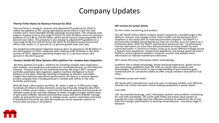# Company Updates

#### **Thermo Fisher Raises Its Revenue Forecast for 2016**

Thermo Fisher is raising its revenue and adjusted EPS guidance for 2016 to reflect the addition of FEI, strong operational performance in the first nine months and a more favorable foreign exchange environment. The company now expects revenue to be in the range of \$18.25 to \$18.39 billion versus its previous guidance of \$17.84 to \$18.00 billion, which would result in revenue growth of 8 percent over 2015. The company is also raising its adjusted EPS guidance to a new range of \$8.19 to \$8.30 versus the \$8.07 to \$8.20previously announced, which now results in 11 percent to 12 percent growth year over year.

The Analytical Instruments Segment revenue grew 15 percent to \$0.90 billion in the third quarter of 2016, compared with revenue of \$0.78 billion in the third quarter of 2015. Segment operating margin was 21.2 percent versus 18.8 percent in the 2015 quarter.

#### **Venture backed Bit Stew Systems offers platform for complex data integration**

Bit Stew Systems has built a platform for handling complex data integration, data analysis, and predictive automation for connected devices on the Industrial Internet.. Purpose-built for the Industrial Internet, Bit Stew's MIx™ product portfolio automates data ingestion, applies machine intelligence to learn patterns in the data, allowing industrial companies to discover actionable insights that optimize operational performance. Bit Stew is a venture-backed private company that is headquartered in Canada with offices in the USA, Australia and Europe

With Bit Stew's MIx product portfolio, BC Hydro is able to:  $\mathbb{D}$  Efficiently triage hundreds of millions of data elements every day **Quickly integrate data from** nearly 2 million smart meters, more than 30 network systems and thousands of network assets  $\mathbb{B}$  See real-time displays of meter outages and geo-spatial views of grid assets  $\mathbb D$  Better identify and prioritize issues and alerts  $\mathbb D$  Better manage meter-to-grid performance such as voltage issues, system restoration and more Identify and reconcile any data discrepancies across separate systems to ensure data accuracy in all systems

#### **SKF services for power plants**

On-line motor monitoring and analysis

The SKF NetEP Online Motor Analysis System represents a breakthrough in the ability to monitor and manage critical motor health and performance from anywhere in the world with an Internetconnected computer. The NetEP is a permanently-installed networked device that can monitor up to 32 motors on a continuous basis. With the NetEP, maintenance personnel can: • Continuously monitor with alerts on more than 100 parameters of motor health for each connected motor • Connect to motors using up to seven different voltage busses • Acquire time waveforms, torque/time waveforms and torque spectrum data • Perform current signature analysis • Acquire, monitor and analyze trend information to improve maintenance decisions

SKF's Asset Efficiency Otimization (AEO) methodology

combines the in-depth knowledge, broad industrial experience, global service and consulting capabilities from SKF with our world-class products and technologies. The end result? A clear understanding of your business goals, combined with an unmatched ability to offer unique solutions that deliver real value.

Feedwater pump and motor:

SKF works with manufacturers and end-users to develop reliable, cost-effective solutions for critical and semi-critical rotating equipment in power plants.

#### Coal mills:

SKF has provided bearings, seals, lubrication systems and condition monitoring for coal mills worldwide. SKF works with OEMs and power plant owners to provide the most reliable and cost effective solutions to extend the life of coal mills from design specifications to bearing remanufacture – and every stage in between